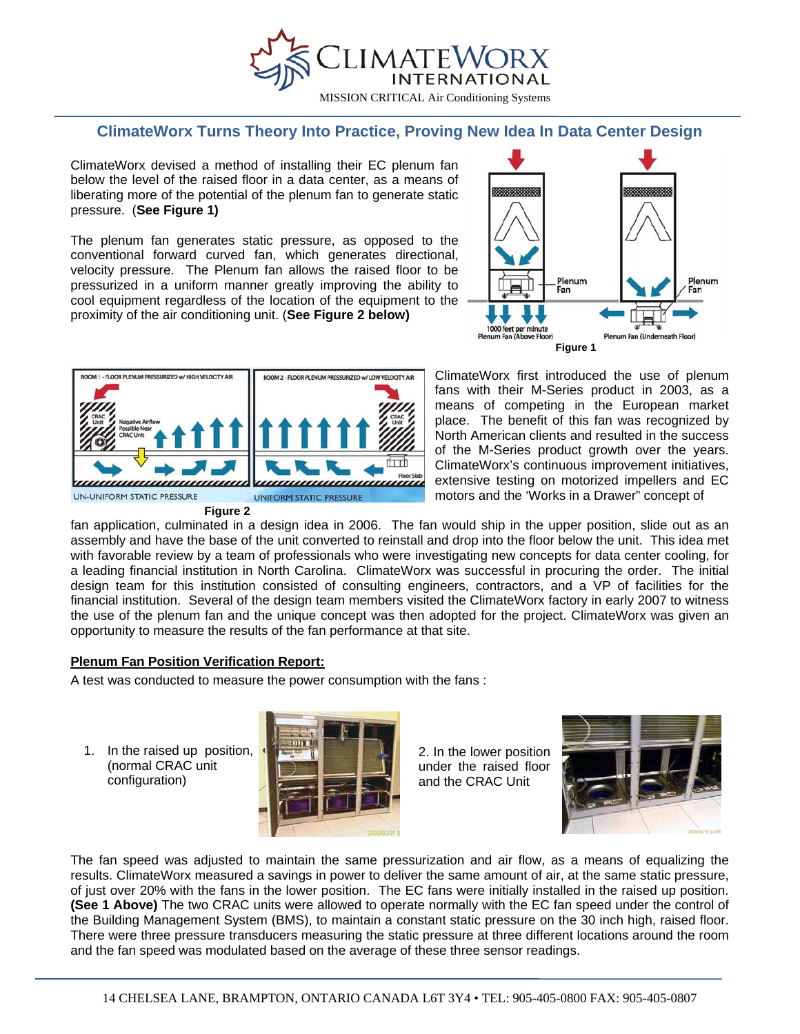

## **ClimateWorx Turns Theory Into Practice, Proving New Idea In Data Center Design**

ClimateWorx devised a method of installing their EC plenum fan below the level of the raised floor in a data center, as a means of liberating more of the potential of the plenum fan to generate static pressure. (**See Figure 1)** 

The plenum fan generates static pressure, as opposed to the conventional forward curved fan, which generates directional, velocity pressure. The Plenum fan allows the raised floor to be pressurized in a uniform manner greatly improving the ability to cool equipment regardless of the location of the equipment to the proximity of the air conditioning unit. (**See Figure 2 below)**





ClimateWorx first introduced the use of plenum fans with their M-Series product in 2003, as a means of competing in the European market place. The benefit of this fan was recognized by North American clients and resulted in the success of the M-Series product growth over the years. ClimateWorx's continuous improvement initiatives, extensive testing on motorized impellers and EC motors and the 'Works in a Drawer" concept of

fan application, culminated in a design idea in 2006. The fan would ship in the upper position, slide out as an assembly and have the base of the unit converted to reinstall and drop into the floor below the unit. This idea met with favorable review by a team of professionals who were investigating new concepts for data center cooling, for a leading financial institution in North Carolina. ClimateWorx was successful in procuring the order. The initial design team for this institution consisted of consulting engineers, contractors, and a VP of facilities for the financial institution. Several of the design team members visited the ClimateWorx factory in early 2007 to witness the use of the plenum fan and the unique concept was then adopted for the project. ClimateWorx was given an opportunity to measure the results of the fan performance at that site.

## **Plenum Fan Position Verification Report:**

A test was conducted to measure the power consumption with the fans :

 configuration) 1. In the raised up position, (normal CRAC unit



2. In the lower position under the raised floor and the CRAC Unit



The fan speed was adjusted to maintain the same pressurization and air flow, as a means of equalizing the results. ClimateWorx measured a savings in power to deliver the same amount of air, at the same static pressure, of just over 20% with the fans in the lower position. The EC fans were initially installed in the raised up position. **(See 1 Above)** The two CRAC units were allowed to operate normally with the EC fan speed under the control of the Building Management System (BMS), to maintain a constant static pressure on the 30 inch high, raised floor. There were three pressure transducers measuring the static pressure at three different locations around the room and the fan speed was modulated based on the average of these three sensor readings.